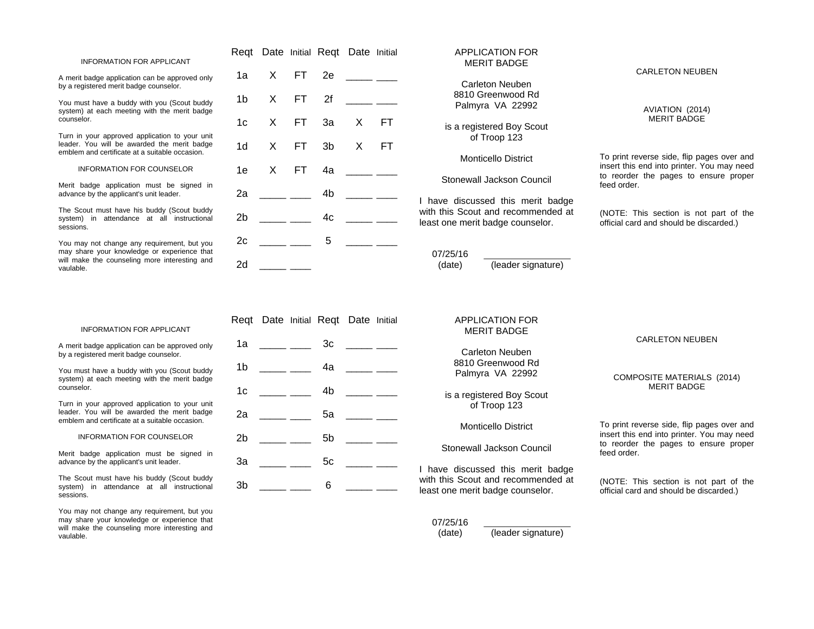#### INFORMATION FOR APPLICANT

A merit badge application can be approved only by a registered merit badge counselor.

You must have a buddy with you (Scout buddy system) at each meeting with the merit badge counselor.

Turn in your approved application to your unit leader. You will be awarded the merit badge emblem and certificate at a suitable occasion.

INFORMATION FOR COUNSELOR

Merit badge application must be signed in advance by the applicant's unit leader.

The Scout must have his buddy (Scout buddy system) in attendance at all instructional sessions.

You may not change any requirement, but you may share your knowledge or experience that will make the counseling more interesting and vaulable.

|                |                        | Reqt Date Initial Reqt Date Initial                                                                                                                                                                                                                                                                                 |                                   |  |
|----------------|------------------------|---------------------------------------------------------------------------------------------------------------------------------------------------------------------------------------------------------------------------------------------------------------------------------------------------------------------|-----------------------------------|--|
| 1a             | X FT 2e                |                                                                                                                                                                                                                                                                                                                     | المستنبه المستنب                  |  |
|                | 1b X FT 2f             |                                                                                                                                                                                                                                                                                                                     | المستنب المستنب                   |  |
| 1 <sub>c</sub> |                        | X FT 3a X FT                                                                                                                                                                                                                                                                                                        |                                   |  |
| 1 <sub>d</sub> |                        | X FT 3b X FT                                                                                                                                                                                                                                                                                                        |                                   |  |
| 1e             |                        | X FT 4a _____ ____                                                                                                                                                                                                                                                                                                  |                                   |  |
| 2a             |                        | $\frac{1}{2}$ $\frac{1}{2}$ $\frac{1}{2}$ $\frac{1}{2}$ $\frac{1}{2}$ $\frac{1}{2}$ $\frac{1}{2}$ $\frac{1}{2}$ $\frac{1}{2}$ $\frac{1}{2}$ $\frac{1}{2}$ $\frac{1}{2}$ $\frac{1}{2}$ $\frac{1}{2}$ $\frac{1}{2}$ $\frac{1}{2}$ $\frac{1}{2}$ $\frac{1}{2}$ $\frac{1}{2}$ $\frac{1}{2}$ $\frac{1}{2}$ $\frac{1}{2}$ |                                   |  |
| 2 <sub>b</sub> |                        | 4c                                                                                                                                                                                                                                                                                                                  | <u> 1999 - Andrea Staten III.</u> |  |
| 2c             | $\frac{1}{\sqrt{2}}$ 5 |                                                                                                                                                                                                                                                                                                                     |                                   |  |
| - 2d           |                        |                                                                                                                                                                                                                                                                                                                     |                                   |  |

 $1b$   $4a$ 

2a \_\_\_\_\_ \_\_\_\_ 5a \_\_\_\_\_ \_\_\_\_

1c \_\_\_\_\_ \_\_\_\_ 4b \_\_\_\_\_ \_\_\_

2b \_\_\_\_\_\_ \_\_\_\_\_ 5b \_\_\_\_\_\_ \_\_\_\_

# APPLICATION FOR MERIT BADGE Carleton Neuben 8810 Greenwood Rd Palmyra VA 22992 is a registered Boy Scout of Troop 123 Monticello District Stonewall Jackson Council I have discussed this merit badge with this Scout and recommended at least one merit badge counselor. 07/25/16 (date) (leader signature) CARLETON NEUBEN AVIATION (2014) MERIT BADGE To print reverse side, flip pages over and insert this end into printer. You may need to reorder the pages to ensure proper feed order. (NOTE: This section is not part of the official card and should be discarded.) Reqt Date Initial Reqt Date Initial 1a \_\_\_\_\_\_ \_\_\_\_ 3c \_\_\_\_\_ \_\_\_ APPLICATION FOR MERIT BADGE

Carleton Neuben 8810 Greenwood Rd Palmyra VA 22992

is a registered Boy Scout of Troop 123

Monticello District

Stonewall Jackson Council

I have discussed this merit badge with this Scout and recommended at least one merit badge counselor.

### 07/25/16

(date) (leader signature)

#### CARLETON NEUBEN

#### COMPOSITE MATERIALS (2014) MERIT BADGE

To print reverse side, flip pages over and insert this end into printer. You may need to reorder the pages to ensure proper feed order.

(NOTE: This section is not part of the official card and should be discarded.)

#### INFORMATION FOR APPLICANT

A merit badge application can be approved only by a registered merit badge counselor.

You must have a buddy with you (Scout buddy system) at each meeting with the merit badge counselor.

Turn in your approved application to your unit leader. You will be awarded the merit badge emblem and certificate at a suitable occasion.

#### INFORMATION FOR COUNSELOR

Merit badge application must be signed in advance by the applicant's unit leader.

The Scout must have his buddy (Scout buddy system) in attendance at all instructional sessions.

You may not change any requirement, but you may share your knowledge or experience that will make the counseling more interesting and vaulable.

3a \_\_\_\_\_\_ \_\_\_\_ 5c \_\_\_\_\_ \_\_\_\_  $3b$  6  $-$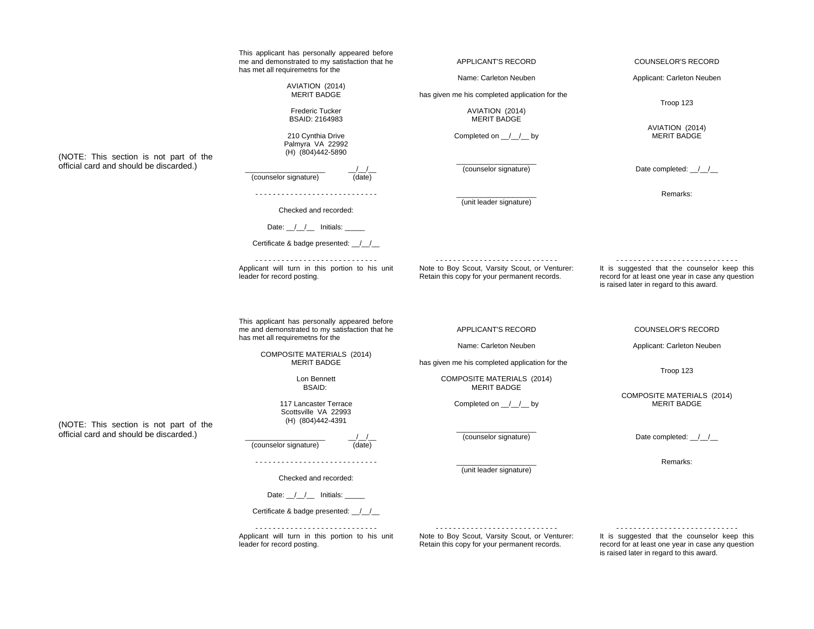|                                                                                   | This applicant has personally appeared before<br>me and demonstrated to my satisfaction that he                                     | APPLICANT'S RECORD                                                                             | <b>COUNSELOR'S RECORD</b>                                                                                                                     |  |
|-----------------------------------------------------------------------------------|-------------------------------------------------------------------------------------------------------------------------------------|------------------------------------------------------------------------------------------------|-----------------------------------------------------------------------------------------------------------------------------------------------|--|
|                                                                                   | has met all requiremetns for the                                                                                                    | Name: Carleton Neuben                                                                          | Applicant: Carleton Neuben                                                                                                                    |  |
|                                                                                   | AVIATION (2014)<br><b>MERIT BADGE</b>                                                                                               | has given me his completed application for the                                                 | Troop 123                                                                                                                                     |  |
|                                                                                   | Frederic Tucker<br>BSAID: 2164983                                                                                                   | AVIATION (2014)<br><b>MERIT BADGE</b>                                                          |                                                                                                                                               |  |
| (NOTE: This section is not part of the                                            | 210 Cynthia Drive<br>Palmyra VA 22992<br>(H) (804)442-5890                                                                          | Completed on $\angle$ $\angle$ by                                                              | AVIATION (2014)<br><b>MERIT BADGE</b>                                                                                                         |  |
| official card and should be discarded.)                                           | (counselor signature)<br>(date)                                                                                                     | (counselor signature)                                                                          | Date completed: _/_/_                                                                                                                         |  |
|                                                                                   | Checked and recorded:                                                                                                               | (unit leader signature)                                                                        | Remarks:                                                                                                                                      |  |
|                                                                                   | Date: $\angle$ $\angle$ Initials: $\angle$                                                                                          |                                                                                                |                                                                                                                                               |  |
|                                                                                   | Certificate & badge presented: 11                                                                                                   |                                                                                                |                                                                                                                                               |  |
|                                                                                   | Applicant will turn in this portion to his unit<br>leader for record posting.                                                       | Note to Boy Scout, Varsity Scout, or Venturer:<br>Retain this copy for your permanent records. | It is suggested that the counselor keep this<br>record for at least one year in case any question<br>is raised later in regard to this award. |  |
|                                                                                   | This applicant has personally appeared before<br>me and demonstrated to my satisfaction that he<br>has met all requiremetns for the | APPLICANT'S RECORD                                                                             | <b>COUNSELOR'S RECORD</b>                                                                                                                     |  |
|                                                                                   | COMPOSITE MATERIALS (2014)<br><b>MERIT BADGE</b>                                                                                    | Name: Carleton Neuben                                                                          | Applicant: Carleton Neuben                                                                                                                    |  |
|                                                                                   |                                                                                                                                     | has given me his completed application for the                                                 | Troop 123                                                                                                                                     |  |
|                                                                                   | Lon Bennett                                                                                                                         | <b>COMPOSITE MATERIALS (2014)</b>                                                              |                                                                                                                                               |  |
|                                                                                   | <b>BSAID:</b><br>117 Lancaster Terrace<br>Scottsville VA 22993<br>(H) (804)442-4391                                                 | <b>MERIT BADGE</b><br>Completed on $\angle$ $\angle$ by                                        | <b>COMPOSITE MATERIALS (2014)</b><br><b>MERIT BADGE</b>                                                                                       |  |
| (NOTE: This section is not part of the<br>official card and should be discarded.) | (counselor signature)<br>(date)                                                                                                     | (counselor signature)                                                                          | Date completed: _/_/_                                                                                                                         |  |
|                                                                                   |                                                                                                                                     | (unit leader signature)                                                                        | Remarks:                                                                                                                                      |  |
|                                                                                   | Checked and recorded:                                                                                                               |                                                                                                |                                                                                                                                               |  |
|                                                                                   | Date: $1/2$ Initials:                                                                                                               |                                                                                                |                                                                                                                                               |  |
|                                                                                   | Certificate & badge presented: ///                                                                                                  |                                                                                                |                                                                                                                                               |  |
|                                                                                   | Applicant will turn in this portion to his unit<br>leader for record posting.                                                       | Note to Boy Scout, Varsity Scout, or Venturer:<br>Retain this copy for your permanent records. | It is suggested that the counselor keep this<br>record for at least one year in case any question<br>is raised later in regard to this award. |  |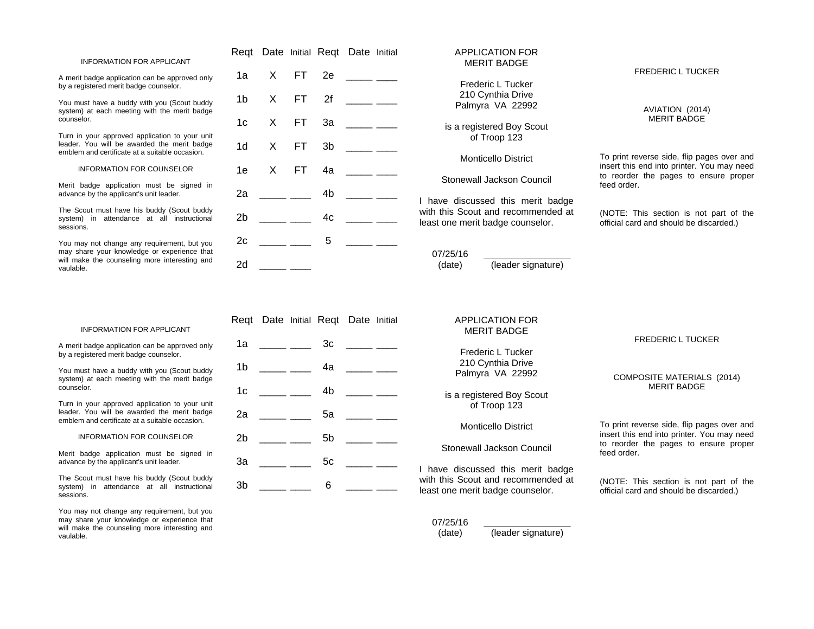#### INFORMATION FOR APPLICANT

A merit badge application can be approved only by a registered merit badge counselor.

You must have a buddy with you (Scout buddy system) at each meeting with the merit badge counselor.

Turn in your approved application to your unit leader. You will be awarded the merit badge emblem and certificate at a suitable occasion.

INFORMATION FOR COUNSELOR

Merit badge application must be signed in advance by the applicant's unit leader.

The Scout must have his buddy (Scout buddy system) in attendance at all instructional sessions.

You may not change any requirement, but you may share your knowledge or experience that will make the counseling more interesting and vaulable.

|              | Reqt Date Initial Reqt Date Initial                                                                                                                                                                                                                                                                                                                                                                                                                   |                                              |         |                        |                |
|--------------|-------------------------------------------------------------------------------------------------------------------------------------------------------------------------------------------------------------------------------------------------------------------------------------------------------------------------------------------------------------------------------------------------------------------------------------------------------|----------------------------------------------|---------|------------------------|----------------|
|              | $\begin{tabular}{ccccc} \multicolumn{2}{c }{\textbf{1} & \multicolumn{2}{c }{\textbf{2} & \multicolumn{2}{c }{\textbf{3} & \multicolumn{2}{c }{\textbf{4} & \multicolumn{2}{c }{\textbf{5} & \multicolumn{2}{c }{\textbf{6} & \multicolumn{2}{c }{\textbf{6} & \multicolumn{2}{c }{\textbf{6} & \multicolumn{2}{c }{\textbf{6} & \multicolumn{2}{c }{\textbf{6} & \multicolumn{2}{c }{\textbf{6} & \multicolumn{2}{c }{\textbf{6} & \multicolumn{2}{$ |                                              | X FT 2e |                        | 1a l           |
|              | 1b X FT 2f ____ ___                                                                                                                                                                                                                                                                                                                                                                                                                                   |                                              |         |                        |                |
|              | 1c X FT 3a ____ ___                                                                                                                                                                                                                                                                                                                                                                                                                                   |                                              |         |                        |                |
|              | 1d X FT 3b ____ ___                                                                                                                                                                                                                                                                                                                                                                                                                                   |                                              |         |                        |                |
|              | 1e X FT 4a ____ ___                                                                                                                                                                                                                                                                                                                                                                                                                                   |                                              |         |                        |                |
| l hi         |                                                                                                                                                                                                                                                                                                                                                                                                                                                       | $\frac{1}{\sqrt{1-\frac{1}{2}}}\frac{4b}{2}$ |         |                        | 2a             |
| with<br>leas |                                                                                                                                                                                                                                                                                                                                                                                                                                                       |                                              |         | $\frac{1}{2}$ 4c       | 2 <sub>b</sub> |
|              | <u> 1999 - Jan Barnett, p</u>                                                                                                                                                                                                                                                                                                                                                                                                                         |                                              |         | $\frac{1}{\sqrt{2}}$ 5 | 2c             |
| (            |                                                                                                                                                                                                                                                                                                                                                                                                                                                       |                                              |         |                        | 2d             |

# APPLICATION FOR MERIT BADGE Frederic L Tucker 210 Cynthia Drive Palmyra VA 22992 is a registered Boy Scout of Troop 123 Monticello District Stonewall Jackson Council ave discussed this merit badge I this Scout and recommended at st one merit badge counselor.

07/25/16 (date) (leader signature) FREDERIC L TUCKER

AVIATION (2014) MERIT BADGE

To print reverse side, flip pages over and insert this end into printer. You may need to reorder the pages to ensure proper feed order.

(NOTE: This section is not part of the official card and should be discarded.)

#### INFORMATION FOR APPLICANT

A merit badge application can be approved only by a registered merit badge counselor.

You must have a buddy with you (Scout buddy system) at each meeting with the merit badge counselor.

Turn in your approved application to your unit leader. You will be awarded the merit badge emblem and certificate at a suitable occasion.

INFORMATION FOR COUNSELOR

Merit badge application must be signed in advance by the applicant's unit leader.

The Scout must have his buddy (Scout buddy system) in attendance at all instructional sessions.

You may not change any requirement, but you may share your knowledge or experience that will make the counseling more interesting and vaulable.

|                | Reqt Date Initial Reqt Date Initial                                                                                                                                                                                                                                                                                                                                                                                                                                             |    |                                                                                                                                                                                                                                                                                                                                                                                                                        |  |
|----------------|---------------------------------------------------------------------------------------------------------------------------------------------------------------------------------------------------------------------------------------------------------------------------------------------------------------------------------------------------------------------------------------------------------------------------------------------------------------------------------|----|------------------------------------------------------------------------------------------------------------------------------------------------------------------------------------------------------------------------------------------------------------------------------------------------------------------------------------------------------------------------------------------------------------------------|--|
| 1a             | <u> 1999 - Alban Storman Storman Storman Storman Storman Storman Storman Storman Storman Storman Storman Storman Storman Storman Storman Storman Storman Storman Storman Storman Storman Storman Storman Storman Storman Storman</u>                                                                                                                                                                                                                                            | 3c | $\begin{tabular}{ccccc} \multicolumn{2}{c }{\textbf{1} & \textbf{2} & \textbf{3} & \textbf{4} & \textbf{5} & \textbf{6} & \textbf{7} & \textbf{8} & \textbf{8} & \textbf{9} & \textbf{10} & \textbf{10} & \textbf{10} & \textbf{10} & \textbf{10} & \textbf{10} & \textbf{10} & \textbf{10} & \textbf{10} & \textbf{10} & \textbf{10} & \textbf{10} & \textbf{10} & \textbf{10} & \textbf{10} & \textbf{10} & \textbf$ |  |
|                | $1b$ _______                                                                                                                                                                                                                                                                                                                                                                                                                                                                    |    |                                                                                                                                                                                                                                                                                                                                                                                                                        |  |
| 1 <sub>c</sub> | $\begin{tabular}{ccccc} \multicolumn{2}{c }{\textbf{1} & \multicolumn{2}{c }{\textbf{2} & \multicolumn{2}{c }{\textbf{3} & \multicolumn{2}{c }{\textbf{4} & \multicolumn{2}{c }{\textbf{5} & \multicolumn{2}{c }{\textbf{6} & \multicolumn{2}{c }{\textbf{6} & \multicolumn{2}{c }{\textbf{6} & \multicolumn{2}{c }{\textbf{6} & \multicolumn{2}{c }{\textbf{6} & \multicolumn{2}{c }{\textbf{6} & \multicolumn{2}{c }{\textbf{6} & \multicolumn{2}{$                           | 4b | <u> 1990 - Jan Barnett, fransk politiker</u>                                                                                                                                                                                                                                                                                                                                                                           |  |
| 2a             | $\overline{\phantom{a}}$ $\overline{\phantom{a}}$ $\overline{\phantom{a}}$ $\overline{\phantom{a}}$ $\overline{\phantom{a}}$ $\overline{\phantom{a}}$ $\overline{\phantom{a}}$ $\overline{\phantom{a}}$ $\overline{\phantom{a}}$ $\overline{\phantom{a}}$ $\overline{\phantom{a}}$ $\overline{\phantom{a}}$ $\overline{\phantom{a}}$ $\overline{\phantom{a}}$ $\overline{\phantom{a}}$ $\overline{\phantom{a}}$ $\overline{\phantom{a}}$ $\overline{\phantom{a}}$ $\overline{\$ | 5a | <u> 1999 - Andrea Staten III.</u>                                                                                                                                                                                                                                                                                                                                                                                      |  |
| 2 <sub>b</sub> | $\overline{\phantom{a}}$ $\overline{\phantom{a}}$ $\overline{\phantom{a}}$ $\overline{\phantom{a}}$ $\overline{\phantom{a}}$ $\overline{\phantom{a}}$ $\overline{\phantom{a}}$ $\overline{\phantom{a}}$ $\overline{\phantom{a}}$ $\overline{\phantom{a}}$ $\overline{\phantom{a}}$ $\overline{\phantom{a}}$ $\overline{\phantom{a}}$ $\overline{\phantom{a}}$ $\overline{\phantom{a}}$ $\overline{\phantom{a}}$ $\overline{\phantom{a}}$ $\overline{\phantom{a}}$ $\overline{\$ | 5b |                                                                                                                                                                                                                                                                                                                                                                                                                        |  |
| 3a             |                                                                                                                                                                                                                                                                                                                                                                                                                                                                                 | 5c | المستنبط المستنبط                                                                                                                                                                                                                                                                                                                                                                                                      |  |
| 3b             | $\begin{tabular}{ccccc} \multicolumn{2}{c }{\textbf{1} & \multicolumn{2}{c }{\textbf{2} & \multicolumn{2}{c }{\textbf{3} & \multicolumn{2}{c }{\textbf{4} & \multicolumn{2}{c }{\textbf{5} & \multicolumn{2}{c }{\textbf{6} & \multicolumn{2}{c }{\textbf{6} & \multicolumn{2}{c }{\textbf{6} & \multicolumn{2}{c }{\textbf{6} & \multicolumn{2}{c }{\textbf{6} & \multicolumn{2}{c }{\textbf{6} & \multicolumn{2}{c }{\textbf{6} & \multicolumn{2}{$                           | 6  | <u> The Common School (1989)</u>                                                                                                                                                                                                                                                                                                                                                                                       |  |

#### APPLICATION FOR MERIT BADGE

Frederic L Tucker 210 Cynthia Drive Palmyra VA 22992

is a registered Boy Scout of Troop 123

Monticello District

# Stonewall Jackson Council

I have discussed this merit badge with this Scout and recommended at least one merit badge counselor.

#### 07/25/16

(date) (leader signature)

#### FREDERIC L TUCKER

#### COMPOSITE MATERIALS (2014) MERIT BADGE

To print reverse side, flip pages over and insert this end into printer. You may need to reorder the pages to ensure proper feed order.

(NOTE: This section is not part of the official card and should be discarded.)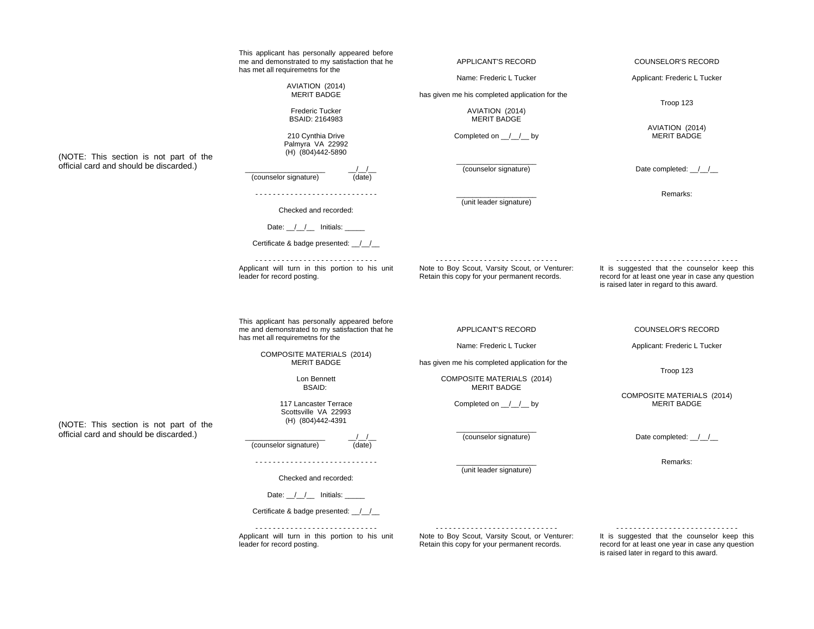|                                         | This applicant has personally appeared before<br>me and demonstrated to my satisfaction that he                                     | APPLICANT'S RECORD                                                                             | <b>COUNSELOR'S RECORD</b>                                                                                                                     |  |
|-----------------------------------------|-------------------------------------------------------------------------------------------------------------------------------------|------------------------------------------------------------------------------------------------|-----------------------------------------------------------------------------------------------------------------------------------------------|--|
|                                         | has met all requiremetns for the                                                                                                    | Name: Frederic L Tucker                                                                        | Applicant: Frederic L Tucker                                                                                                                  |  |
|                                         | AVIATION (2014)<br><b>MERIT BADGE</b>                                                                                               | has given me his completed application for the                                                 | Troop 123                                                                                                                                     |  |
|                                         | <b>Frederic Tucker</b><br><b>BSAID: 2164983</b>                                                                                     | AVIATION (2014)<br><b>MERIT BADGE</b>                                                          |                                                                                                                                               |  |
| (NOTE: This section is not part of the  | 210 Cynthia Drive<br>Palmyra VA 22992<br>(H) (804)442-5890                                                                          | Completed on $\angle$ / $\angle$ by                                                            | AVIATION (2014)<br><b>MERIT BADGE</b>                                                                                                         |  |
| official card and should be discarded.) | (counselor signature)<br>(date)                                                                                                     | (counselor signature)                                                                          | Date completed: _/_/_                                                                                                                         |  |
|                                         | Checked and recorded:                                                                                                               | (unit leader signature)                                                                        | Remarks:                                                                                                                                      |  |
|                                         | Date: $\angle$ / $\angle$ Initials: $\angle$                                                                                        |                                                                                                |                                                                                                                                               |  |
|                                         | Certificate & badge presented: 11                                                                                                   |                                                                                                |                                                                                                                                               |  |
|                                         | Applicant will turn in this portion to his unit<br>leader for record posting.                                                       | Note to Boy Scout, Varsity Scout, or Venturer:<br>Retain this copy for your permanent records. | It is suggested that the counselor keep this<br>record for at least one year in case any question<br>is raised later in regard to this award. |  |
|                                         | This applicant has personally appeared before<br>me and demonstrated to my satisfaction that he<br>has met all requiremetns for the | APPLICANT'S RECORD                                                                             | <b>COUNSELOR'S RECORD</b>                                                                                                                     |  |
|                                         | COMPOSITE MATERIALS (2014)<br><b>MERIT BADGE</b>                                                                                    | Name: Frederic L Tucker                                                                        | Applicant: Frederic L Tucker                                                                                                                  |  |
|                                         |                                                                                                                                     | has given me his completed application for the                                                 | Troop 123                                                                                                                                     |  |
|                                         | Lon Bennett<br><b>BSAID:</b>                                                                                                        | <b>COMPOSITE MATERIALS (2014)</b><br><b>MERIT BADGE</b>                                        |                                                                                                                                               |  |
| (NOTE: This section is not part of the  | 117 Lancaster Terrace<br>Scottsville VA 22993<br>(H) (804)442-4391                                                                  | Completed on $\angle$ $\angle$ by                                                              | COMPOSITE MATERIALS (2014)<br><b>MERIT BADGE</b>                                                                                              |  |
| official card and should be discarded.) | (counselor signature)<br>(date)                                                                                                     | (counselor signature)                                                                          | Date completed: 1/                                                                                                                            |  |
|                                         |                                                                                                                                     | (unit leader signature)                                                                        | Remarks:                                                                                                                                      |  |
|                                         | Checked and recorded:                                                                                                               |                                                                                                |                                                                                                                                               |  |
|                                         | Date: ///__/__ Initials: _____<br>Certificate & badge presented: ///                                                                |                                                                                                |                                                                                                                                               |  |
|                                         |                                                                                                                                     |                                                                                                |                                                                                                                                               |  |
|                                         | Applicant will turn in this portion to his unit<br>leader for record posting.                                                       | Note to Boy Scout, Varsity Scout, or Venturer:<br>Retain this copy for your permanent records. | It is suggested that the counselor keep this<br>record for at least one year in case any question<br>is raised later in regard to this award. |  |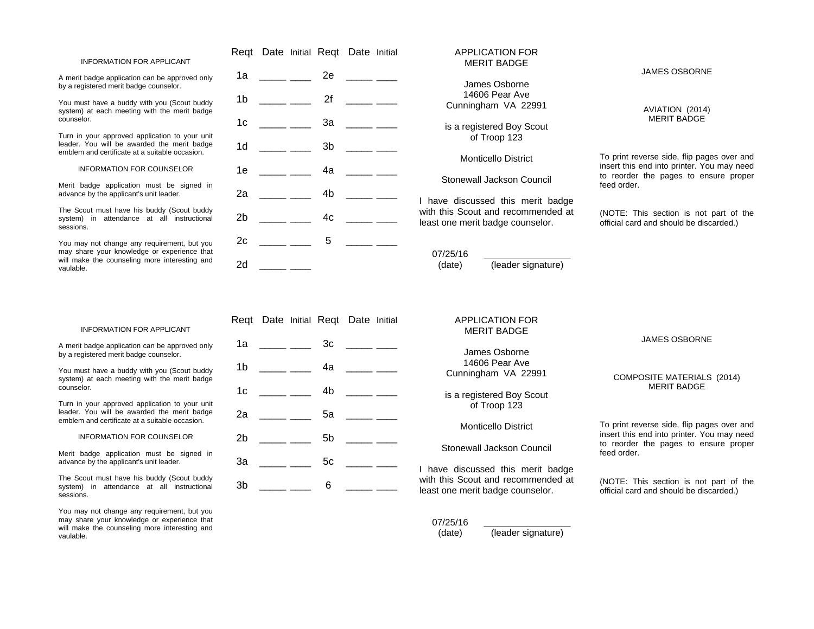#### INFORMATION FOR APPLICANT

A merit badge application can be approved only by a registered merit badge counselor.

You must have a buddy with you (Scout buddy system) at each meeting with the merit badge counselor.

Turn in your approved application to your unit leader. You will be awarded the merit badge emblem and certificate at a suitable occasion.

#### INFORMATION FOR COUNSELOR

Merit badge application must be signed in advance by the applicant's unit leader.

The Scout must have his buddy (Scout buddy system) in attendance at all instructional sessions.

You may not change any requirement, but you may share your knowledge or experience that will make the counseling more interesting and vaulable.

|                |                                                                                                                                                                                                                                                                                                                                                                                                                                                       |    | Reqt Date Initial Reqt Date Initial |  |
|----------------|-------------------------------------------------------------------------------------------------------------------------------------------------------------------------------------------------------------------------------------------------------------------------------------------------------------------------------------------------------------------------------------------------------------------------------------------------------|----|-------------------------------------|--|
|                | 1a $\frac{1}{2}$                                                                                                                                                                                                                                                                                                                                                                                                                                      | 2e | للمستنبذ المستنبط                   |  |
|                |                                                                                                                                                                                                                                                                                                                                                                                                                                                       |    | 1b ____ ___ 2f ____ __              |  |
| 1 <sub>c</sub> |                                                                                                                                                                                                                                                                                                                                                                                                                                                       |    | _____ ____ 3a _____ ___             |  |
| 1 <sub>d</sub> | $\frac{1}{2}$ and $\frac{1}{2}$ and $\frac{1}{2}$                                                                                                                                                                                                                                                                                                                                                                                                     |    |                                     |  |
|                |                                                                                                                                                                                                                                                                                                                                                                                                                                                       |    | 1e _____ ____ 4a _____ ___          |  |
|                |                                                                                                                                                                                                                                                                                                                                                                                                                                                       |    | $2a$ ______ _____ 4b _____ ____     |  |
| 2 <sub>b</sub> | $\frac{1}{\sqrt{1-\frac{1}{2}} \sqrt{1-\frac{1}{2}}}$ 4c                                                                                                                                                                                                                                                                                                                                                                                              |    | <u> 1999 - Andrea Staten Ingels</u> |  |
| 2c             | $\begin{tabular}{ccccc} \multicolumn{2}{c }{\textbf{1} & \multicolumn{2}{c }{\textbf{2} & \multicolumn{2}{c }{\textbf{3} & \multicolumn{2}{c }{\textbf{4} & \multicolumn{2}{c }{\textbf{5} & \multicolumn{2}{c }{\textbf{6} & \multicolumn{2}{c }{\textbf{6} & \multicolumn{2}{c }{\textbf{6} & \multicolumn{2}{c }{\textbf{6} & \multicolumn{2}{c }{\textbf{6} & \multicolumn{2}{c }{\textbf{6} & \multicolumn{2}{c }{\textbf{6} & \multicolumn{2}{$ | 5  |                                     |  |
| 2d             |                                                                                                                                                                                                                                                                                                                                                                                                                                                       |    |                                     |  |

# APPLICATION FOR MERIT BADGE James Osborne

14606 Pear Ave Cunningham VA 22991

is a registered Boy Scout of Troop 123

Monticello District

Stonewall Jackson Council

I have discussed this merit badge with this Scout and recommended at least one merit badge counselor.

07/25/16 (date) (leader signature)

# JAMES OSBORNE

AVIATION (2014) MERIT BADGE

To print reverse side, flip pages over and insert this end into printer. You may need to reorder the pages to ensure proper feed order.

(NOTE: This section is not part of the official card and should be discarded.)

#### INFORMATION FOR APPLICANT

A merit badge application can be approved only by a registered merit badge counselor.

You must have a buddy with you (Scout buddy system) at each meeting with the merit badge counselor.

Turn in your approved application to your unit leader. You will be awarded the merit badge emblem and certificate at a suitable occasion.

#### INFORMATION FOR COUNSELOR

Merit badge application must be signed in advance by the applicant's unit leader.

The Scout must have his buddy (Scout buddy system) in attendance at all instructional sessions.

You may not change any requirement, but you may share your knowledge or experience that will make the counseling more interesting and vaulable.

Reqt Date Initial Reqt Date Initial 1a \_\_\_\_\_\_ \_\_\_\_ 3c \_\_\_\_\_ \_\_\_  $1b$   $4a$ 1c \_\_\_\_\_ \_\_\_\_ 4b \_\_\_\_\_ \_\_\_ 2a \_\_\_\_\_ \_\_\_\_ 5a \_\_\_\_\_ \_\_\_\_ 2b \_\_\_\_\_\_ \_\_\_\_\_ 5b \_\_\_\_\_\_ \_\_\_\_ 3a \_\_\_\_\_\_ \_\_\_\_ 5c \_\_\_\_\_ \_\_\_\_  $3b$  6  $-$ 

# APPLICATION FOR

MERIT BADGE

James Osborne 14606 Pear Ave Cunningham VA 22991

is a registered Boy Scout of Troop 123

### Monticello District

# Stonewall Jackson Council

I have discussed this merit badge with this Scout and recommended at least one merit badge counselor.

#### 07/25/16

(date) (leader signature)

#### JAMES OSBORNE

#### COMPOSITE MATERIALS (2014) MERIT BADGE

To print reverse side, flip pages over and insert this end into printer. You may need to reorder the pages to ensure proper feed order.

(NOTE: This section is not part of the official card and should be discarded.)